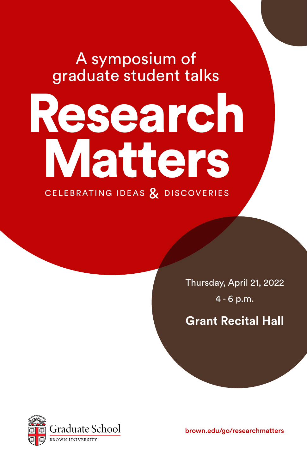# A symposium of graduate student talks

# Research Matters

CELEBRATING IDEAS & DISCOVERIES

Thursday, April 21, 2022 4 - 6 p.m.

**Grant Recital Hall**



brown.edu/go/researchmatters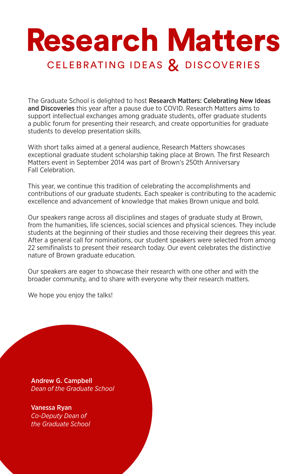## Research Matters CELEBRATING IDEAS & DISCOVERIES

The Graduate School is delighted to host Research Matters: Celebrating New Ideas and Discoveries this year after a pause due to COVID. Research Matters aims to support intellectual exchanges among graduate students, offer graduate students a public forum for presenting their research, and create opportunities for graduate students to develop presentation skills.

With short talks aimed at a general audience, Research Matters showcases exceptional graduate student scholarship taking place at Brown. The first Research Matters event in September 2014 was part of Brown's 250th Anniversary Fall Celebration.

This year, we continue this tradition of celebrating the accomplishments and contributions of our graduate students. Each speaker is contributing to the academic excellence and advancement of knowledge that makes Brown unique and bold.

Our speakers range across all disciplines and stages of graduate study at Brown, from the humanities, life sciences, social sciences and physical sciences. They include students at the beginning of their studies and those receiving their degrees this year. After a general call for nominations, our student speakers were selected from among 22 semifinalists to present their research today. Our event celebrates the distinctive nature of Brown graduate education.

Our speakers are eager to showcase their research with one other and with the broader community, and to share with everyone why their research matters.

We hope you enjoy the talks!

Andrew G. Campbell *Dean of the Graduate School*

Vanessa Ryan *Co-Deputy Dean of the Graduate School*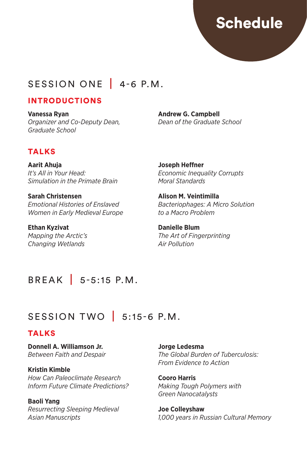## Schedule

## SESSION ONE 4-6 P.M.

## INTRODUCTIONS

**Vanessa Ryan** *Organizer and Co-Deputy Dean, Graduate School*

**Andrew G. Campbell** *Dean of the Graduate School*

## TALKS

**Aarit Ahuja** *It's All in Your Head: Simulation in the Primate Brain*

**Sarah Christensen** *Emotional Histories of Enslaved Women in Early Medieval Europe*

**Ethan Kyzivat** *Mapping the Arctic's Changing Wetlands*

**Joseph Heffner** *Economic Inequality Corrupts Moral Standards* 

**Alison M. Veintimilla** *Bacteriophages: A Micro Solution to a Macro Problem*

**Danielle Blum** *The Art of Fingerprinting Air Pollution*

## BREAK | 5-5:15 P.M.

## SESSION TWO | 5:15-6 P.M.

## **TALKS**

**Donnell A. Williamson Jr.** *Between Faith and Despair*

**Kristin Kimble** *How Can Paleoclimate Research Inform Future Climate Predictions?*

**Baoli Yang**

*Resurrecting Sleeping Medieval Asian Manuscripts*

**Jorge Ledesma** *The Global Burden of Tuberculosis: From Evidence to Action*

**Cooro Harris** *Making Tough Polymers with Green Nanocatalysts*

**Joe Colleyshaw** *1,000 years in Russian Cultural Memory*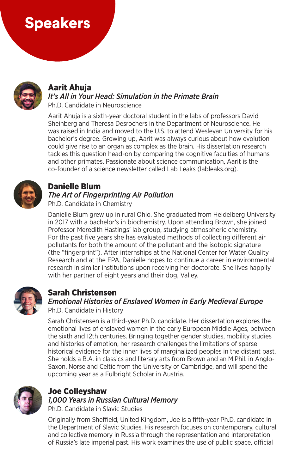## Speakers



### Aarit Ahuja

#### *It's All in Your Head: Simulation in the Primate Brain* Ph.D. Candidate in Neuroscience

Aarit Ahuja is a sixth-year doctoral student in the labs of professors David Sheinberg and Theresa Desrochers in the Department of Neuroscience. He was raised in India and moved to the U.S. to attend Wesleyan University for his bachelor's degree. Growing up, Aarit was always curious about how evolution could give rise to an organ as complex as the brain. His dissertation research tackles this question head-on by comparing the cognitive faculties of humans and other primates. Passionate about science communication, Aarit is the co-founder of a science newsletter called Lab Leaks (lableaks.org).



## Danielle Blum

## *The Art of Fingerprinting Air Pollution*

Ph.D. Candidate in Chemistry

Danielle Blum grew up in rural Ohio. She graduated from Heidelberg University in 2017 with a bachelor's in biochemistry. Upon attending Brown, she joined Professor Meredith Hastings' lab group, studying atmospheric chemistry. For the past five years she has evaluated methods of collecting different air pollutants for both the amount of the pollutant and the isotopic signature (the "fingerprint"). After internships at the National Center for Water Quality Research and at the EPA, Danielle hopes to continue a career in environmental research in similar institutions upon receiving her doctorate. She lives happily with her partner of eight years and their dog, Valley.



## Sarah Christensen

## *Emotional Histories of Enslaved Women in Early Medieval Europe*

Ph.D. Candidate in History

Sarah Christensen is a third-year Ph.D. candidate. Her dissertation explores the emotional lives of enslaved women in the early European Middle Ages, between the sixth and 12th centuries. Bringing together gender studies, mobility studies and histories of emotion, her research challenges the limitations of sparse historical evidence for the inner lives of marginalized peoples in the distant past. She holds a B.A. in classics and literary arts from Brown and an M.Phil. in Anglo-Saxon, Norse and Celtic from the University of Cambridge, and will spend the upcoming year as a Fulbright Scholar in Austria.



## Joe Colleyshaw *1,000 Years in Russian Cultural Memory*

Ph.D. Candidate in Slavic Studies

Originally from Sheffield, United Kingdom, Joe is a fifth-year Ph.D. candidate in the Department of Slavic Studies. His research focuses on contemporary, cultural and collective memory in Russia through the representation and interpretation of Russia's late imperial past. His work examines the use of public space, official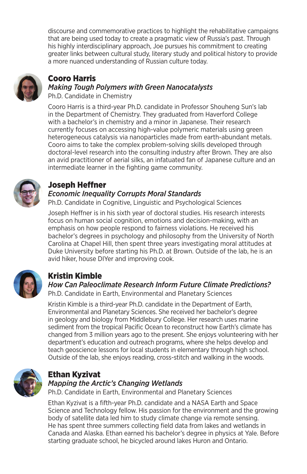discourse and commemorative practices to highlight the rehabilitative campaigns that are being used today to create a pragmatic view of Russia's past. Through his highly interdisciplinary approach, Joe pursues his commitment to creating greater links between cultural study, literary study and political history to provide a more nuanced understanding of Russian culture today.



## Cooro Harris

## *Making Tough Polymers with Green Nanocatalysts*

Ph.D. Candidate in Chemistry

Cooro Harris is a third-year Ph.D. candidate in Professor Shouheng Sun's lab in the Department of Chemistry. They graduated from Haverford College with a bachelor's in chemistry and a minor in Japanese. Their research currently focuses on accessing high-value polymeric materials using green heterogeneous catalysis via nanoparticles made from earth-abundant metals. Cooro aims to take the complex problem-solving skills developed through doctoral-level research into the consulting industry after Brown. They are also an avid practitioner of aerial silks, an infatuated fan of Japanese culture and an intermediate learner in the fighting game community.



## Joseph Heffner

## *Economic Inequality Corrupts Moral Standards*

Ph.D. Candidate in Cognitive, Linguistic and Psychological Sciences

Joseph Heffner is in his sixth year of doctoral studies. His research interests focus on human social cognition, emotions and decision-making, with an emphasis on how people respond to fairness violations. He received his bachelor's degrees in psychology and philosophy from the University of North Carolina at Chapel Hill, then spent three years investigating moral attitudes at Duke University before starting his Ph.D. at Brown. Outside of the lab, he is an avid hiker, house DIYer and improving cook.



## Kristin Kimble

*How Can Paleoclimate Research Inform Future Climate Predictions?* Ph.D. Candidate in Earth, Environmental and Planetary Sciences

Kristin Kimble is a third-year Ph.D. candidate in the Department of Earth, Environmental and Planetary Sciences. She received her bachelor's degree in geology and biology from Middlebury College. Her research uses marine sediment from the tropical Pacific Ocean to reconstruct how Earth's climate has changed from 3 million years ago to the present. She enjoys volunteering with her department's education and outreach programs, where she helps develop and teach geoscience lessons for local students in elementary through high school. Outside of the lab, she enjoys reading, cross-stitch and walking in the woods.



## Ethan Kyzivat

## *Mapping the Arctic's Changing Wetlands*

Ph.D. Candidate in Earth, Environmental and Planetary Sciences

Ethan Kyzivat is a fifth-year Ph.D. candidate and a NASA Earth and Space Science and Technology fellow. His passion for the environment and the growing body of satellite data led him to study climate change via remote sensing. He has spent three summers collecting field data from lakes and wetlands in Canada and Alaska. Ethan earned his bachelor's degree in physics at Yale. Before starting graduate school, he bicycled around lakes Huron and Ontario.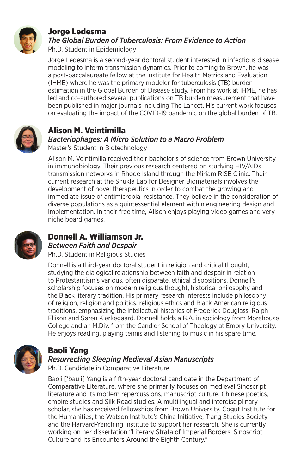

#### Jorge Ledesma *The Global Burden of Tuberculosis: From Evidence to Action*

Ph.D. Student in Epidemiology

Jorge Ledesma is a second-year doctoral student interested in infectious disease modeling to inform transmission dynamics. Prior to coming to Brown, he was a post-baccalaureate fellow at the Institute for Health Metrics and Evaluation (IHME) where he was the primary modeler for tuberculosis (TB) burden estimation in the Global Burden of Disease study. From his work at IHME, he has led and co-authored several publications on TB burden measurement that have been published in major journals including The Lancet. His current work focuses on evaluating the impact of the COVID-19 pandemic on the global burden of TB.



## Alison M. Veintimilla *Bacteriophages: A Micro Solution to a Macro Problem*

Master's Student in Biotechnology

Alison M. Veintimilla received their bachelor's of science from Brown University in immunobiology. Their previous research centered on studying HIV/AIDs transmission networks in Rhode Island through the Miriam RISE Clinic. Their current research at the Shukla Lab for Designer Biomaterials involves the development of novel therapeutics in order to combat the growing and immediate issue of antimicrobial resistance. They believe in the consideration of diverse populations as a quintessential element within engineering design and implementation. In their free time, Alison enjoys playing video games and very niche board games.



## Donnell A. Williamson Jr. *Between Faith and Despair*

Ph.D. Student in Religious Studies

Donnell is a third-year doctoral student in religion and critical thought, studying the dialogical relationship between faith and despair in relation to Protestantism's various, often disparate, ethical dispositions. Donnell's scholarship focuses on modern religious thought, historical philosophy and the Black literary tradition. His primary research interests include philosophy of religion, religion and politics, religious ethics and Black American religious traditions, emphasizing the intellectual histories of Frederick Douglass, Ralph Ellison and Søren Kierkegaard. Donnell holds a B.A. in sociology from Morehouse College and an M.Div. from the Candler School of Theology at Emory University. He enjoys reading, playing tennis and listening to music in his spare time.



#### Baoli Yang *Resurrecting Sleeping Medieval Asian Manuscripts*

Ph.D. Candidate in Comparative Literature

Baoli ['bauli] Yang is a fifth-year doctoral candidate in the Department of Comparative Literature, where she primarily focuses on medieval Sinoscript literature and its modern repercussions, manuscript culture, Chinese poetics, empire studies and Silk Road studies. A multilingual and interdisciplinary scholar, she has received fellowships from Brown University, Cogut Institute for the Humanities, the Watson Institute's China Initiative, T'ang Studies Society and the Harvard-Yenching Institute to support her research. She is currently working on her dissertation "Literary Strata of Imperial Borders: Sinoscript Culture and Its Encounters Around the Eighth Century."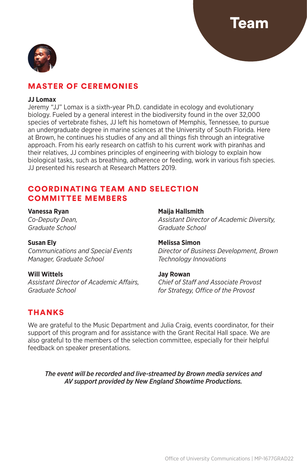eam



## MASTER OF CEREMONIES

#### **JJ Lomax**

Jeremy "JJ" Lomax is a sixth-year Ph.D. candidate in ecology and evolutionary biology. Fueled by a general interest in the biodiversity found in the over 32,000 species of vertebrate fishes, JJ left his hometown of Memphis, Tennessee, to pursue an undergraduate degree in marine sciences at the University of South Florida. Here at Brown, he continues his studies of any and all things fish through an integrative approach. From his early research on catfish to his current work with piranhas and their relatives, JJ combines principles of engineering with biology to explain how biological tasks, such as breathing, adherence or feeding, work in various fish species. JJ presented his research at Research Matters 2019.

### COORDINATING TEAM AND SELECTION COMMITTEE MEMBERS

**Vanessa Ryan** *Co-Deputy Dean, Graduate School*

#### **Susan Ely**

*Communications and Special Events Manager, Graduate School*

**Will Wittels** *Assistant Director of Academic Affairs, Graduate School*

**Maija Hallsmith**

*Assistant Director of Academic Diversity, Graduate School*

#### **Melissa Simon**

*Director of Business Development, Brown Technology Innovations*

#### **Jay Rowan**

*Chief of Staff and Associate Provost for Strategy, Office of the Provost*

## THANKS

We are grateful to the Music Department and Julia Craig, events coordinator, for their support of this program and for assistance with the Grant Recital Hall space. We are also grateful to the members of the selection committee, especially for their helpful feedback on speaker presentations.

*The event will be recorded and live-streamed by Brown media services and AV support provided by New England Showtime Productions.*